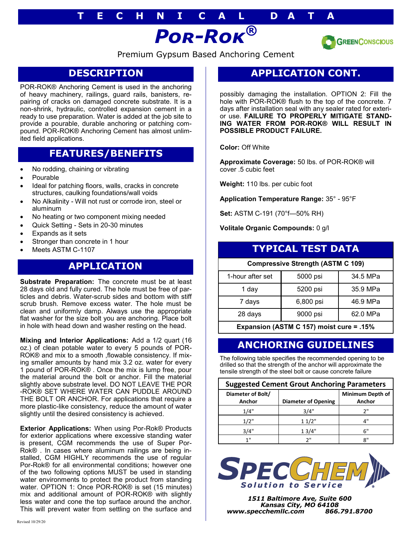#### **T E C H N I C A L D A T A**





Premium Gypsum Based Anchoring Cement

## **DESCRIPTION**

POR-ROK® Anchoring Cement is used in the anchoring of heavy machinery, railings, guard rails, banisters, repairing of cracks on damaged concrete substrate. It is a non-shrink, hydraulic, controlled expansion cement in a ready to use preparation. Water is added at the job site to provide a pourable, durable anchoring or patching compound. POR-ROK® Anchoring Cement has almost unlimited field applications.

### **FEATURES/BENEFITS**

- No rodding, chaining or vibrating
- Pourable
- Ideal for patching floors, walls, cracks in concrete structures, caulking foundations/wall voids
- No Alkalinity Will not rust or corrode iron, steel or aluminum
- No heating or two component mixing needed
- Quick Setting Sets in 20-30 minutes
- Expands as it sets
- Stronger than concrete in 1 hour
- 

### **APPLICATION**

**Substrate Preparation:** The concrete must be at least 28 days old and fully cured. The hole must be free of particles and debris. Water-scrub sides and bottom with stiff scrub brush. Remove excess water. The hole must be clean and uniformly damp. Always use the appropriate flat washer for the size bolt you are anchoring. Place bolt in hole with head down and washer resting on the head.

**Mixing and Interior Applications:** Add a 1/2 quart (16 oz.) of clean potable water to every 5 pounds of POR-ROK® and mix to a smooth ,flowable consistency. If mixing smaller amounts by hand mix 3.2 oz. water for every 1 pound of POR-ROK® . Once the mix is lump free, pour the material around the bolt or anchor. Fill the material slightly above substrate level. DO NOT LEAVE THE POR -ROK® SET WHERE WATER CAN PUDDLE AROUND THE BOLT OR ANCHOR. For applications that require a more plastic-like consistency, reduce the amount of water slightly until the desired consistency is achieved.

**Exterior Applications:** When using Por-Rok® Products for exterior applications where excessive standing water is present, CGM recommends the use of Super Por-Rok® . In cases where aluminum railings are being installed, CGM HIGHLY recommends the use of regular Por-Rok® for all environmental conditions; however one of the two following options MUST be used in standing water environments to protect the product from standing water. OPTION 1: Once POR-ROK® is set (15 minutes) mix and additional amount of POR-ROK® with slightly less water and cone the top surface around the anchor. This will prevent water from settling on the surface and

# **APPLICATION CONT.**

possibly damaging the installation. OPTION 2: Fill the hole with POR-ROK® flush to the top of the concrete. 7 days after installation seal with any sealer rated for exterior use. **FAILURE TO PROPERLY MITIGATE STAND-ING WATER FROM POR-ROK® WILL RESULT IN POSSIBLE PRODUCT FAILURE.** 

**Color:** Off White

**Approximate Coverage:** 50 lbs. of POR-ROK® will cover .5 cubic feet

**Weight:** 110 lbs. per cubic foot

**Application Temperature Range:** 35° - 95°F

**Set:** ASTM C-191 (70°f—50% RH)

**Volitale Organic Compounds:** 0 g/l

# **Facebook Calculation Concerns Act on the Calculation of the Calculation of TYPICAL TEST DATA**

#### **Compressive Strength (ASTM C 109)**

| 1-hour after set                         | 5000 psi  | 34.5 MPa |  |
|------------------------------------------|-----------|----------|--|
| 1 day                                    | 5200 psi  | 35.9 MPa |  |
| 7 days                                   | 6,800 psi | 46.9 MPa |  |
| 28 days                                  | 9000 psi  | 62.0 MPa |  |
| Expansion (ASTM C 157) moist cure = .15% |           |          |  |

# **ANCHORING GUIDELINES**

The following table specifies the recommended opening to be drilled so that the strength of the anchor will approximate the tensile strength of the steel bolt or cause concrete failure

#### **Suggested Cement Grout Anchoring Parameters**

| Diameter of Bolt/<br>Anchor | <b>Diameter of Opening</b> | <b>Minimum Depth of</b><br>Anchor |
|-----------------------------|----------------------------|-----------------------------------|
| 1/4"                        | 3/4"                       | ን"                                |
| 1/2"                        | 11/2"                      | ⊿ "                               |
| 3/4"                        | 13/4"                      | ና"                                |
| 1 !!                        | ייר                        | o"                                |



*1511 Baltimore Ave, Suite 600 Kansas City, MO 64108 www.specchemllc.com 866.791.8700*